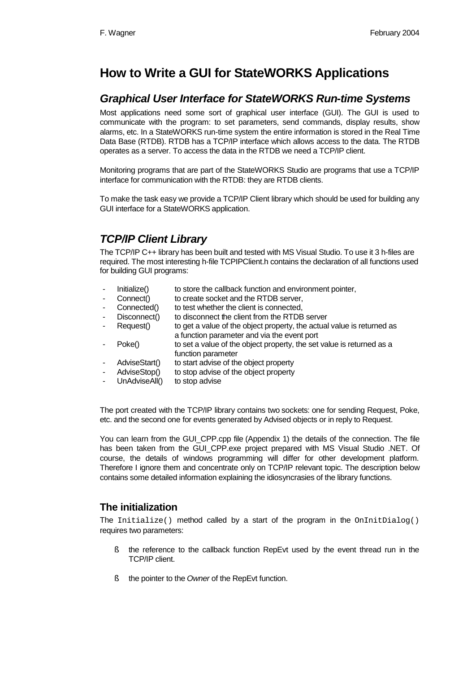# **How to Write a GUI for StateWORKS Applications**

## *Graphical User Interface for StateWORKS Run-time Systems*

Most applications need some sort of graphical user interface (GUI). The GUI is used to communicate with the program: to set parameters, send commands, display results, show alarms, etc. In a StateWORKS run-time system the entire information is stored in the Real Time Data Base (RTDB). RTDB has a TCP/IP interface which allows access to the data. The RTDB operates as a server. To access the data in the RTDB we need a TCP/IP client.

Monitoring programs that are part of the StateWORKS Studio are programs that use a TCP/IP interface for communication with the RTDB: they are RTDB clients.

To make the task easy we provide a TCP/IP Client library which should be used for building any GUI interface for a StateWORKS application.

## *TCP/IP Client Library*

The TCP/IP C++ library has been built and tested with MS Visual Studio. To use it 3 h-files are required. The most interesting h-file TCPIPClient.h contains the declaration of all functions used for building GUI programs:

- Initialize() to store the callback function and environment pointer,
- Connect() to create socket and the RTDB server,
- Connected() to test whether the client is connected.
- Disconnect() to disconnect the client from the RTDB server
- Request() to get a value of the object property, the actual value is returned as a function parameter and via the event port
- Poke() to set a value of the object property, the set value is returned as a function parameter
- AdviseStart() to start advise of the object property
- AdviseStop() to stop advise of the object property
- UnAdviseAll() to stop advise

The port created with the TCP/IP library contains two sockets: one for sending Request, Poke, etc. and the second one for events generated by Advised objects or in reply to Request.

You can learn from the GUI CPP.cpp file (Appendix 1) the details of the connection. The file has been taken from the GUI CPP.exe project prepared with MS Visual Studio .NET. Of course, the details of windows programming will differ for other development platform. Therefore I ignore them and concentrate only on TCP/IP relevant topic. The description below contains some detailed information explaining the idiosyncrasies of the library functions.

### **The initialization**

The Initialize() method called by a start of the program in the OnInitDialog() requires two parameters:

- § the reference to the callback function RepEvt used by the event thread run in the TCP/IP client.
- § the pointer to the *Owner* of the RepEvt function.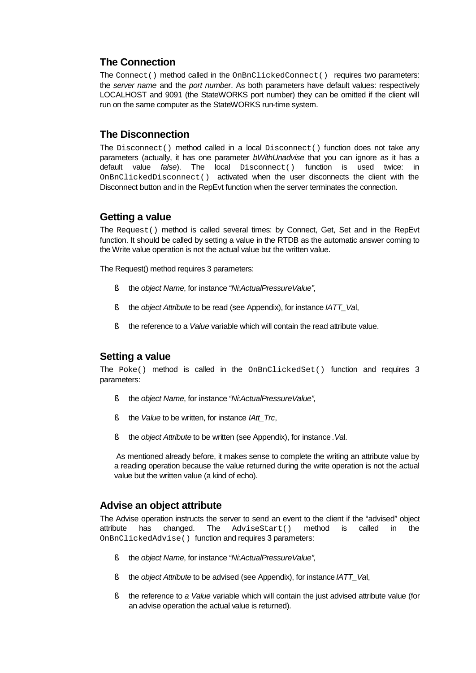## **The Connection**

The Connect() method called in the OnBnClickedConnect() requires two parameters: the *server name* and the *port number*. As both parameters have default values: respectively LOCALHOST and 9091 (the StateWORKS port number) they can be omitted if the client will run on the same computer as the StateWORKS run-time system.

## **The Disconnection**

The Disconnect() method called in a local Disconnect() function does not take any parameters (actually, it has one parameter *bWithUnadvise* that you can ignore as it has a default value *false*). The local Disconnect() function is used twice: in OnBnClickedDisconnect() activated when the user disconnects the client with the Disconnect button and in the RepEvt function when the server terminates the connection.

### **Getting a value**

The Request() method is called several times: by Connect, Get, Set and in the RepEvt function. It should be called by setting a value in the RTDB as the automatic answer coming to the Write value operation is not the actual value but the written value.

The Request() method requires 3 parameters:

- § the *object Name*, for instance *"Ni:ActualPressureValue",*
- § the *object Attribute* to be read (see Appendix), for instance *IATT\_Va*l,
- § the reference to a *Value* variable which will contain the read attribute value.

## **Setting a value**

The Poke() method is called in the OnBnClickedSet() function and requires 3 parameters:

- § the *object Name*, for instance *"Ni:ActualPressureValue",*
- § the *Value* to be written, for instance *IAtt\_Trc*,
- § the *object Attribute* to be written (see Appendix), for instance *.Va*l.

 As mentioned already before, it makes sense to complete the writing an attribute value by a reading operation because the value returned during the write operation is not the actual value but the written value (a kind of echo).

#### **Advise an object attribute**

The Advise operation instructs the server to send an event to the client if the "advised" object attribute has changed. The AdviseStart() method is called in the OnBnClickedAdvise() function and requires 3 parameters:

- § the *object Name*, for instance *"Ni:ActualPressureValue",*
- § the *object Attribute* to be advised (see Appendix), for instance *IATT\_Va*l,
- § the reference to *a Value* variable which will contain the just advised attribute value (for an advise operation the actual value is returned).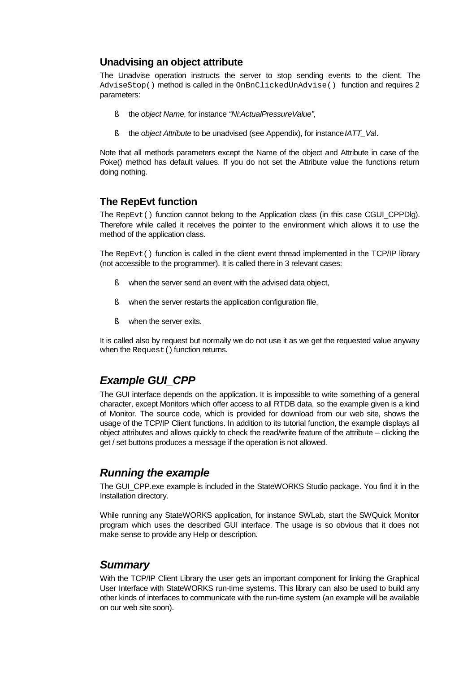### **Unadvising an object attribute**

The Unadvise operation instructs the server to stop sending events to the client. The AdviseStop() method is called in the OnBnClickedUnAdvise() function and requires 2 parameters:

- § the *object Name*, for instance *"Ni:ActualPressureValue",*
- § the *object Attribute* to be unadvised (see Appendix), for instance *IATT\_Va*l.

Note that all methods parameters except the Name of the object and Attribute in case of the Poke() method has default values. If you do not set the Attribute value the functions return doing nothing.

### **The RepEvt function**

The RepEvt() function cannot belong to the Application class (in this case CGUI\_CPPDlg). Therefore while called it receives the pointer to the environment which allows it to use the method of the application class.

The RepEvt() function is called in the client event thread implemented in the TCP/IP library (not accessible to the programmer). It is called there in 3 relevant cases:

- § when the server send an event with the advised data object,
- § when the server restarts the application configuration file,
- § when the server exits.

It is called also by request but normally we do not use it as we get the requested value anyway when the Request () function returns.

## *Example GUI\_CPP*

The GUI interface depends on the application. It is impossible to write something of a general character, except Monitors which offer access to all RTDB data, so the example given is a kind of Monitor. The source code, which is provided for download from our web site, shows the usage of the TCP/IP Client functions. In addition to its tutorial function, the example displays all object attributes and allows quickly to check the read/write feature of the attribute – clicking the get / set buttons produces a message if the operation is not allowed.

## *Running the example*

The GUI\_CPP.exe example is included in the StateWORKS Studio package. You find it in the Installation directory.

While running any StateWORKS application, for instance SWLab, start the SWQuick Monitor program which uses the described GUI interface. The usage is so obvious that it does not make sense to provide any Help or description.

## *Summary*

With the TCP/IP Client Library the user gets an important component for linking the Graphical User Interface with StateWORKS run-time systems. This library can also be used to build any other kinds of interfaces to communicate with the run-time system (an example will be available on our web site soon).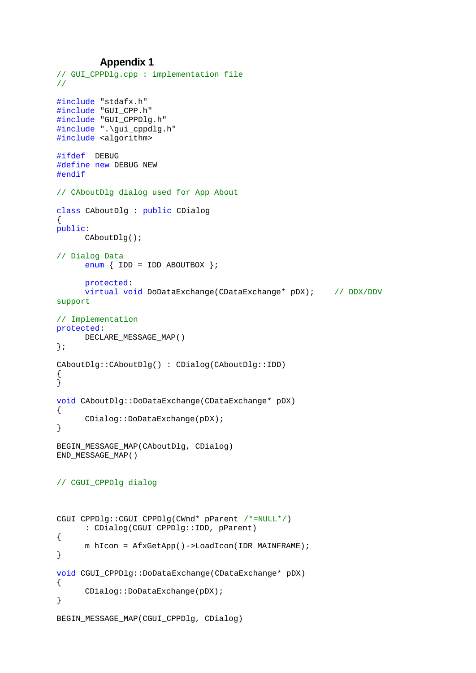#### **Appendix 1**

```
// GUI_CPPDlg.cpp : implementation file
//
#include "stdafx.h"
#include "GUI_CPP.h"
#include "GUI_CPPDlg.h"
#include ".\gui_cppdlg.h"
#include <algorithm>
#ifdef _DEBUG
#define new DEBUG_NEW
#endif
// CAboutDlg dialog used for App About
class CAboutDlg : public CDialog
{
public:
      CAboutDlg();
// Dialog Data
      enum \{ IDD = IDD_ABOUTBOX \};protected:
      virtual void DoDataExchange(CDataExchange* pDX); // DDX/DDV 
support
// Implementation
protected:
      DECLARE_MESSAGE_MAP()
};
CAboutDlg::CAboutDlg() : CDialog(CAboutDlg::IDD)
{
}
void CAboutDlg::DoDataExchange(CDataExchange* pDX)
{
      CDialog::DoDataExchange(pDX);
}
BEGIN_MESSAGE_MAP(CAboutDlg, CDialog)
END_MESSAGE_MAP()
// CGUI_CPPDlg dialog
CGUI_CPPDlg::CGUI_CPPDlg(CWnd* pParent /*=NULL*/)
      : CDialog(CGUI_CPPDlg::IDD, pParent)
{
      m_hIcon = AfxGetApp()->LoadIcon(IDR_MAINFRAME);
}
void CGUI_CPPDlg::DoDataExchange(CDataExchange* pDX)
{
      CDialog::DoDataExchange(pDX);
}
BEGIN_MESSAGE_MAP(CGUI_CPPDlg, CDialog)
```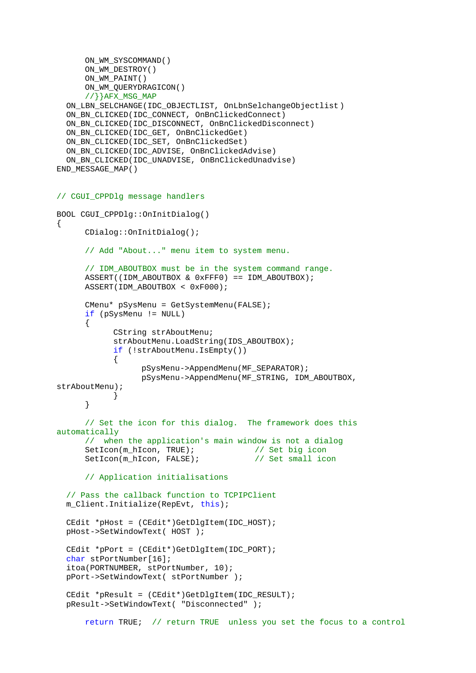```
ON_WM_SYSCOMMAND()
      ON_WM_DESTROY()
      ON_WM_PAINT()
      ON WM_OUERYDRAGICON()
      //}}AFX MSG MAP
   ON_LBN_SELCHANGE(IDC_OBJECTLIST, OnLbnSelchangeObjectlist)
  ON_BN_CLICKED(IDC_CONNECT, OnBnClickedConnect)
   ON_BN_CLICKED(IDC_DISCONNECT, OnBnClickedDisconnect)
   ON_BN_CLICKED(IDC_GET, OnBnClickedGet)
   ON_BN_CLICKED(IDC_SET, OnBnClickedSet)
   ON_BN_CLICKED(IDC_ADVISE, OnBnClickedAdvise)
   ON_BN_CLICKED(IDC_UNADVISE, OnBnClickedUnadvise)
END_MESSAGE_MAP()
// CGUI_CPPDlg message handlers
BOOL CGUI_CPPDlg::OnInitDialog()
{
      CDialog::OnInitDialog();
      // Add "About..." menu item to system menu.
      // IDM_ABOUTBOX must be in the system command range.
      ASSERT((IDM_ABOUTBOX & 0xFFF0) == IDM_ABOUTBOX);
      ASSERT(IDM_ABOUTBOX < 0xF000);
      CMenu* pSysMenu = GetSystemMenu(FALSE);
      if (pSysMenu != NULL)
      {
            CString strAboutMenu;
            strAboutMenu.LoadString(IDS_ABOUTBOX);
            if (!strAboutMenu.IsEmpty())
            {
                  pSysMenu->AppendMenu(MF_SEPARATOR);
                  pSysMenu->AppendMenu(MF_STRING, IDM_ABOUTBOX, 
strAboutMenu);
            }
      }
      // Set the icon for this dialog. The framework does this 
automatically
      // when the application's main window is not a dialog
      SetIcon(m_hIcon, TRUE); \frac{1}{2} // Set big icon
      SetIcon(m_hIcon, FALSE); \frac{1}{2} // Set small icon
      // Application initialisations
   // Pass the callback function to TCPIPClient
   m_Client.Initialize(RepEvt, this);
   CEdit *pHost = (CEdit*)GetDlgItem(IDC_HOST);
   pHost->SetWindowText( HOST );
   CEdit *pPort = (CEdit*)GetDlgItem(IDC_PORT);
  char stPortNumber[16];
   itoa(PORTNUMBER, stPortNumber, 10);
   pPort->SetWindowText( stPortNumber );
   CEdit *pResult = (CEdit*)GetDlgItem(IDC_RESULT);
   pResult->SetWindowText( "Disconnected" );
      return TRUE; // return TRUE unless you set the focus to a control
```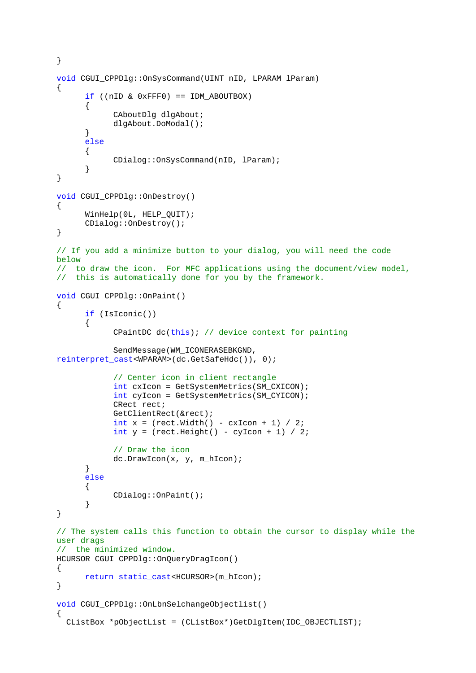```
}
void CGUI_CPPDlg::OnSysCommand(UINT nID, LPARAM lParam)
{
      if (\text{nil} \& \text{0xFFT0}) == \text{IM ABOUTBOX}){
            CAboutDlg dlgAbout;
            dlgAbout.DoModal();
      }
      else
      {
            CDialog::OnSysCommand(nID, lParam);
      }
}
void CGUI CPPDlg::OnDestroy()
{
      WinHelp(0L, HELP_QUIT);
      CDialog::OnDestroy();
}
// If you add a minimize button to your dialog, you will need the code 
below
// to draw the icon. For MFC applications using the document/view model,
// this is automatically done for you by the framework.
void CGUI_CPPDlg::OnPaint() 
{
      if (IsIconic())
      {
            CPaintDC dc(this); // device context for painting
            SendMessage(WM_ICONERASEBKGND, 
reinterpret_cast<WPARAM>(dc.GetSafeHdc()), 0);
            // Center icon in client rectangle
            int cxIcon = GetSystemMetrics(SM_CXICON);
            int cyIcon = GetSystemMetrics(SM_CYICON);
            CRect rect;
            GetClientRect(&rect);
            int x = (rect<u>Width() - cxIcon + 1</u>) / 2;int y = (rect.Height() - cyIcon + 1) / 2;// Draw the icon
            dc.DrawIcon(x, y, m_hIcon);
      }
      else
      {
            CDialog::OnPaint();
      }
}
// The system calls this function to obtain the cursor to display while the 
user drags
// the minimized window.
HCURSOR CGUI_CPPDlg::OnQueryDragIcon()
{
      return static_cast<HCURSOR>(m_hIcon);
}
void CGUI_CPPDlg::OnLbnSelchangeObjectlist()
{
   CListBox *pObjectList = (CListBox*)GetDlgItem(IDC_OBJECTLIST);
```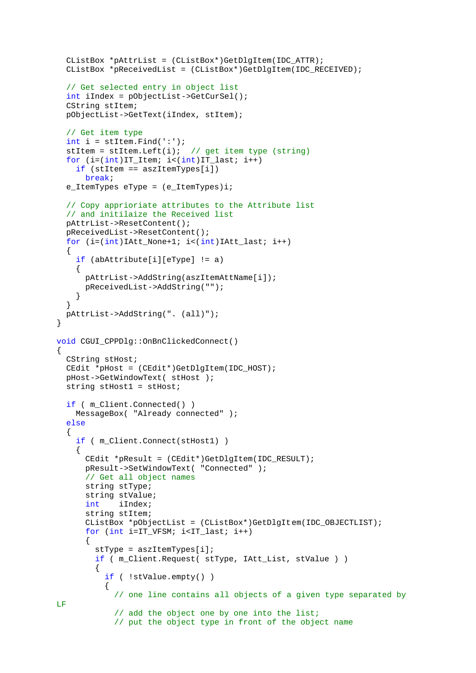```
 CListBox *pAttrList = (CListBox*)GetDlgItem(IDC_ATTR);
   CListBox *pReceivedList = (CListBox*)GetDlgItem(IDC_RECEIVED);
   // Get selected entry in object list
   int iIndex = pObjectList->GetCurSel();
   CString stItem;
   pObjectList->GetText(iIndex, stItem);
   // Get item type
  int i = stItem. Find(':');
  stItem = stItem.Left(i); // get item type (string)
   for (i=(int)IT_Item; i<(int)IT_last; i++)
     if (stItem == aszItemTypes[i])
       break;
  e_ItemTypes eType = (e_ItemTypes)i;
   // Copy apprioriate attributes to the Attribute list
   // and initilaize the Received list
   pAttrList->ResetContent();
   pReceivedList->ResetContent();
  for (i=(int)IAtt_None+1; i<(int)IAtt_last; i++) {
     if (abAttribute[i][eType] != a)
    \left\{ \right. pAttrList->AddString(aszItemAttName[i]);
       pReceivedList->AddString("");
     }
 }
   pAttrList->AddString(". (all)");
}
void CGUI_CPPDlg::OnBnClickedConnect()
{
   CString stHost;
   CEdit *pHost = (CEdit*)GetDlgItem(IDC_HOST);
   pHost->GetWindowText( stHost );
   string stHost1 = stHost;
   if ( m_Client.Connected() )
     MessageBox( "Already connected" );
   else
   {
     if ( m_Client.Connect(stHost1) )
    \{ CEdit *pResult = (CEdit*)GetDlgItem(IDC_RESULT);
       pResult->SetWindowText( "Connected" );
       // Get all object names
       string stType;
       string stValue;
       int iIndex;
       string stItem;
       CListBox *pObjectList = (CListBox*)GetDlgItem(IDC_OBJECTLIST);
      for (int i=IT VFSM; i<IT last; i++)
       {
         stType = aszItemTypes[i];
         if ( m_Client.Request( stType, IAtt_List, stValue ) )
         {
           if ( !stValue.empty() )
\{ // one line contains all objects of a given type separated by 
LF
            // add the object one by one into the list;
             // put the object type in front of the object name
```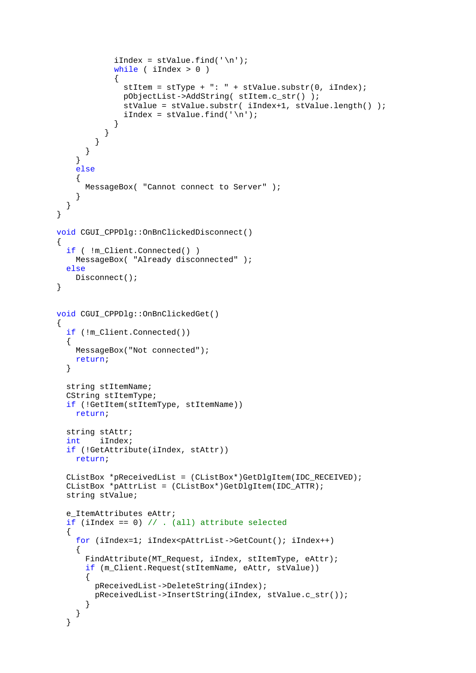```
iIndex = stValue.find('\\n');while ( iIndex > 0 )
\{stItem = strype + ": " + stValue.substr(0, iIndex); pObjectList->AddString( stItem.c_str() );
               stValue = stValue.substr( iIndex+1, stValue.length() );
              iIndex = stValue.find('\\n'); }
           }
         }
       }
     }
     else
     {
       MessageBox( "Cannot connect to Server" );
     }
   }
}
void CGUI_CPPDlg::OnBnClickedDisconnect()
\left\{ \right. if ( !m_Client.Connected() )
     MessageBox( "Already disconnected" );
   else
     Disconnect();
}
void CGUI_CPPDlg::OnBnClickedGet()
{
   if (!m_Client.Connected())
   {
     MessageBox("Not connected");
     return;
   }
   string stItemName;
   CString stItemType;
   if (!GetItem(stItemType, stItemName))
     return;
   string stAttr;
   int iIndex;
   if (!GetAttribute(iIndex, stAttr))
     return;
   CListBox *pReceivedList = (CListBox*)GetDlgItem(IDC_RECEIVED);
   CListBox *pAttrList = (CListBox*)GetDlgItem(IDC_ATTR);
   string stValue;
   e_ItemAttributes eAttr;
   if (iIndex == 0) // . (all) attribute selected
   {
     for (iIndex=1; iIndex<pAttrList->GetCount(); iIndex++)
\{ FindAttribute(MT_Request, iIndex, stItemType, eAttr);
       if (m_Client.Request(stItemName, eAttr, stValue))
       {
         pReceivedList->DeleteString(iIndex);
         pReceivedList->InsertString(iIndex, stValue.c_str());
       }
     }
   }
```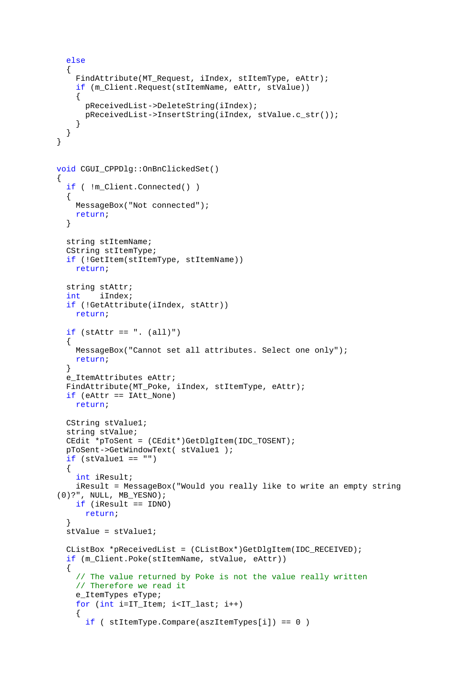```
 else
   {
    FindAttribute(MT_Request, iIndex, stItemType, eAttr);
     if (m_Client.Request(stItemName, eAttr, stValue))
     {
       pReceivedList->DeleteString(iIndex);
       pReceivedList->InsertString(iIndex, stValue.c_str());
     }
   }
}
void CGUI_CPPDlg::OnBnClickedSet()
{
   if ( !m_Client.Connected() )
   {
     MessageBox("Not connected");
     return;
   }
   string stItemName;
   CString stItemType;
   if (!GetItem(stItemType, stItemName))
     return;
   string stAttr;
   int iIndex;
   if (!GetAttribute(iIndex, stAttr))
     return;
  if (\text{stAttr} == ". (\text{all})") {
     MessageBox("Cannot set all attributes. Select one only");
     return;
   }
   e_ItemAttributes eAttr;
   FindAttribute(MT_Poke, iIndex, stItemType, eAttr);
   if (eAttr == IAtt_None)
     return;
   CString stValue1;
   string stValue;
   CEdit *pToSent = (CEdit*)GetDlgItem(IDC_TOSENT);
   pToSent->GetWindowText( stValue1 );
  if (\text{stValuel} == "") {
     int iResult;
     iResult = MessageBox("Would you really like to write an empty string 
(0)?", NULL, MB_YESNO);
     if (iResult == IDNO)
       return;
   }
   stValue = stValue1;
   CListBox *pReceivedList = (CListBox*)GetDlgItem(IDC_RECEIVED);
   if (m_Client.Poke(stItemName, stValue, eAttr))
\{ // The value returned by Poke is not the value really written
     // Therefore we read it
     e_ItemTypes eType;
     for (int i=IT_Item; i<IT_last; i++)
\{ if ( stItemType.Compare(aszItemTypes[i]) == 0 )
```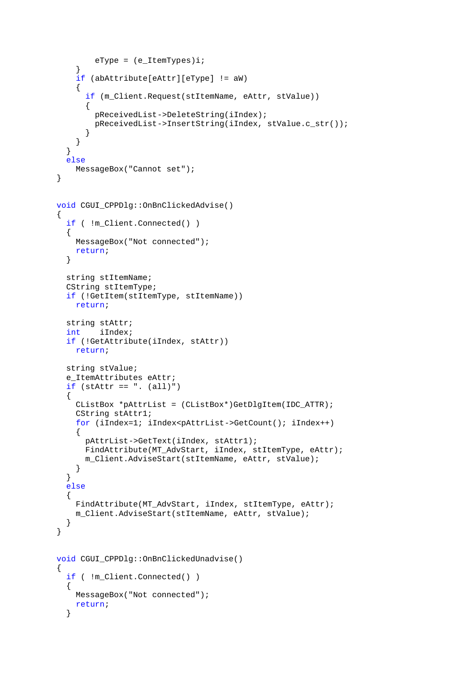```
eType = (e_IitemTypes)i; }
     if (abAttribute[eAttr][eType] != aW)
     {
       if (m_Client.Request(stItemName, eAttr, stValue))
       {
         pReceivedList->DeleteString(iIndex);
         pReceivedList->InsertString(iIndex, stValue.c_str());
       }
     }
   }
   else
     MessageBox("Cannot set");
}
void CGUI_CPPDlg::OnBnClickedAdvise()
{
   if ( !m_Client.Connected() )
  \{ MessageBox("Not connected");
     return;
   }
   string stItemName;
   CString stItemType;
   if (!GetItem(stItemType, stItemName))
     return;
   string stAttr;
   int iIndex;
   if (!GetAttribute(iIndex, stAttr))
     return;
   string stValue;
   e_ItemAttributes eAttr;
  if (\text{stAttr} == ". (\text{all})")\{ CListBox *pAttrList = (CListBox*)GetDlgItem(IDC_ATTR);
    CString stAttrl;
     for (iIndex=1; iIndex<pAttrList->GetCount(); iIndex++)
    \left\{ \right. pAttrList->GetText(iIndex, stAttr1);
       FindAttribute(MT_AdvStart, iIndex, stItemType, eAttr);
       m_Client.AdviseStart(stItemName, eAttr, stValue);
     }
   }
   else
   {
     FindAttribute(MT_AdvStart, iIndex, stItemType, eAttr);
     m_Client.AdviseStart(stItemName, eAttr, stValue);
   }
}
void CGUI_CPPDlg::OnBnClickedUnadvise()
{
   if ( !m_Client.Connected() )
   {
     MessageBox("Not connected");
     return;
   }
```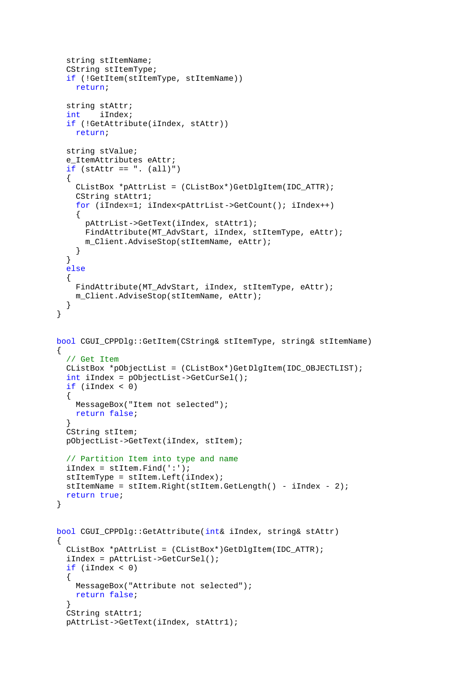```
 string stItemName;
   CString stItemType;
   if (!GetItem(stItemType, stItemName))
     return;
   string stAttr;
   int iIndex;
   if (!GetAttribute(iIndex, stAttr))
     return;
   string stValue;
  e ItemAttributes eAttr;
  if (\text{stAttr} == ". (\text{all})") {
     CListBox *pAttrList = (CListBox*)GetDlgItem(IDC_ATTR);
     CString stAttr1;
     for (iIndex=1; iIndex<pAttrList->GetCount(); iIndex++)
     {
       pAttrList->GetText(iIndex, stAttr1);
       FindAttribute(MT_AdvStart, iIndex, stItemType, eAttr);
       m_Client.AdviseStop(stItemName, eAttr);
     }
   }
   else
   {
     FindAttribute(MT_AdvStart, iIndex, stItemType, eAttr);
     m_Client.AdviseStop(stItemName, eAttr);
   }
}
bool CGUI_CPPDlg::GetItem(CString& stItemType, string& stItemName)
{
   // Get Item
   CListBox *pObjectList = (CListBox*)GetDlgItem(IDC_OBJECTLIST);
   int iIndex = pObjectList->GetCurSel();
   if (iIndex < 0)
  \{ MessageBox("Item not selected");
     return false;
   }
   CString stItem;
   pObjectList->GetText(iIndex, stItem);
   // Partition Item into type and name
   iIndex = stItem.Find(':');
   stItemType = stItem.Left(iIndex);
   stItemName = stItem.Right(stItem.GetLength() - iIndex - 2);
   return true;
}
bool CGUI_CPPDlg::GetAttribute(int& iIndex, string& stAttr)
{
   CListBox *pAttrList = (CListBox*)GetDlgItem(IDC_ATTR);
   iIndex = pAttrList->GetCurSel();
   if (iIndex < 0)
 {
     MessageBox("Attribute not selected");
     return false;
   }
   CString stAttr1;
   pAttrList->GetText(iIndex, stAttr1);
```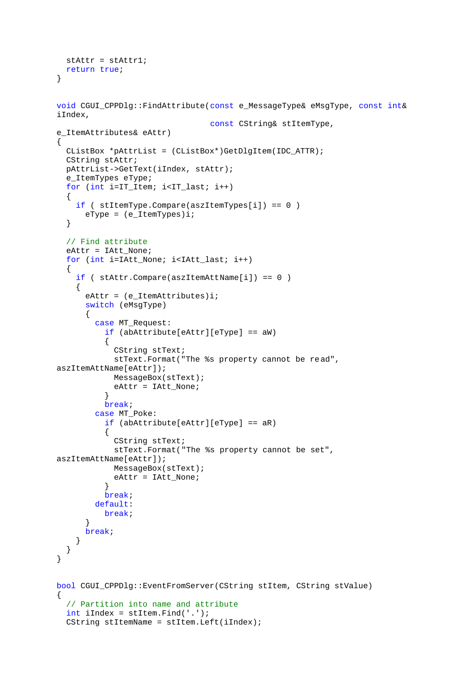```
 stAttr = stAttr1;
   return true;
}
void CGUI_CPPDlg::FindAttribute(const e_MessageType& eMsgType, const int& 
iIndex,
                                  const CString& stItemType, 
e_ItemAttributes& eAttr)
{
   CListBox *pAttrList = (CListBox*)GetDlgItem(IDC_ATTR);
  CString stAttr;
   pAttrList->GetText(iIndex, stAttr);
   e_ItemTypes eType;
   for (int i=IT_Item; i<IT_last; i++)
   {
     if ( stItemType.Compare(aszItemTypes[i]) == 0 )
      eType = (e_IitemTypes)i; }
   // Find attribute
   eAttr = IAtt_None;
   for (int i=IAtt_None; i<IAtt_last; i++)
   {
     if ( stAttr.Compare(aszItemAttName[i]) == 0 )
     {
      eAttr = (e<sup>Item</sup>Attributes)i;
       switch (eMsgType)
      \{ case MT_Request:
           if (abAttribute[eAttr][eType] == aW)
\{ CString stText;
             stText.Format("The %s property cannot be read", 
aszItemAttName[eAttr]);
             MessageBox(stText);
          eAttr = IAtt_None;
 }
           break;
         case MT_Poke:
           if (abAttribute[eAttr][eType] == aR)
\{ CString stText;
             stText.Format("The %s property cannot be set", 
aszItemAttName[eAttr]);
             MessageBox(stText);
             eAttr = IAtt_None;
 }
           break;
         default:
           break;
       }
       break;
     }
   }
}
bool CGUI_CPPDlg::EventFromServer(CString stItem, CString stValue)
{
   // Partition into name and attribute
   int iIndex = stItem.Find('.');
   CString stItemName = stItem.Left(iIndex);
```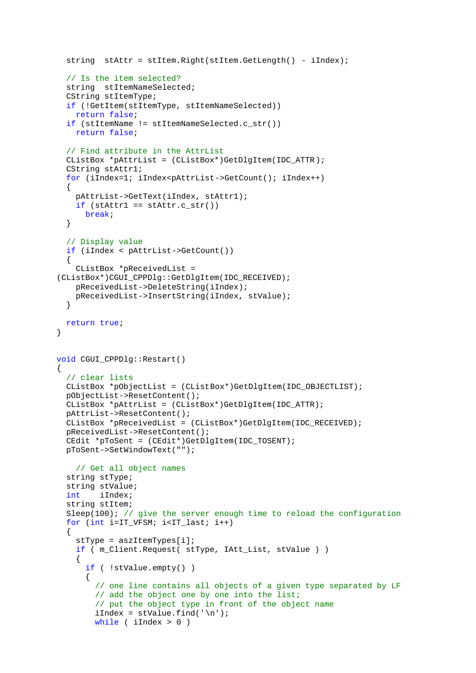```
 string stAttr = stItem.Right(stItem.GetLength() - iIndex);
   // Is the item selected?
   string stItemNameSelected;
   CString stItemType;
   if (!GetItem(stItemType, stItemNameSelected))
     return false;
   if (stItemName != stItemNameSelected.c_str())
     return false;
   // Find attribute in the AttrList
   CListBox *pAttrList = (CListBox*)GetDlgItem(IDC_ATTR);
  CString stAttr1;
   for (iIndex=1; iIndex<pAttrList->GetCount(); iIndex++)
   {
     pAttrList->GetText(iIndex, stAttr1);
    if (stAttr1 == stAttr.c str())
      break;
   }
   // Display value
   if (iIndex < pAttrList->GetCount())
   {
     CListBox *pReceivedList = 
(CListBox*)CGUI_CPPDlg::GetDlgItem(IDC_RECEIVED);
     pReceivedList->DeleteString(iIndex);
     pReceivedList->InsertString(iIndex, stValue);
   }
   return true;
}
void CGUI_CPPDlg::Restart()
\left\{ \right. // clear lists
   CListBox *pObjectList = (CListBox*)GetDlgItem(IDC_OBJECTLIST);
   pObjectList->ResetContent();
   CListBox *pAttrList = (CListBox*)GetDlgItem(IDC_ATTR);
   pAttrList->ResetContent();
   CListBox *pReceivedList = (CListBox*)GetDlgItem(IDC_RECEIVED);
   pReceivedList->ResetContent();
   CEdit *pToSent = (CEdit*)GetDlgItem(IDC_TOSENT);
   pToSent->SetWindowText("");
     // Get all object names
   string stType;
   string stValue;
   int iIndex;
   string stItem;
  Sleep(100); // give the server enough time to reload the configuration
   for (int i=IT_VFSM; i<IT_last; i++)
 {
     stType = aszItemTypes[i];
     if ( m_Client.Request( stType, IAtt_List, stValue ) )
     {
       if ( !stValue.empty() )
\{ // one line contains all objects of a given type separated by LF
        // add the object one by one into the list;
         // put the object type in front of the object name
        iIndex = stValue.find('\\n'); while ( iIndex > 0 )
```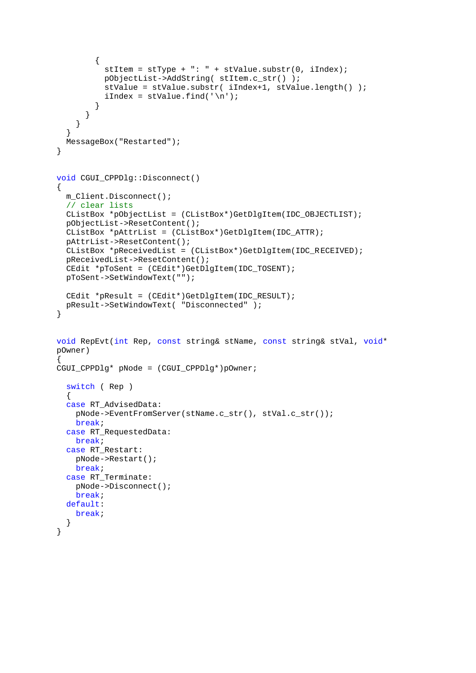```
 {
          stItem = strype + ": " + stValue.substr(0, iIndex); pObjectList->AddString( stItem.c_str() );
           stValue = stValue.substr( iIndex+1, stValue.length() );
          iIndex = stValue.find('\\n'); }
       }
     }
   }
   MessageBox("Restarted");
}
void CGUI_CPPDlg::Disconnect()
{
   m_Client.Disconnect();
   // clear lists
   CListBox *pObjectList = (CListBox*)GetDlgItem(IDC_OBJECTLIST);
   pObjectList->ResetContent();
   CListBox *pAttrList = (CListBox*)GetDlgItem(IDC_ATTR);
   pAttrList->ResetContent();
   CListBox *pReceivedList = (CListBox*)GetDlgItem(IDC_RECEIVED);
   pReceivedList->ResetContent();
   CEdit *pToSent = (CEdit*)GetDlgItem(IDC_TOSENT);
   pToSent->SetWindowText("");
   CEdit *pResult = (CEdit*)GetDlgItem(IDC_RESULT);
   pResult->SetWindowText( "Disconnected" );
}
void RepEvt(int Rep, const string& stName, const string& stVal, void* 
pOwner)
{
CGUI_CPPDlg* pNode = (CGUI_CPPDlg*)pOwner;
   switch ( Rep )
   {
   case RT_AdvisedData:
     pNode->EventFromServer(stName.c_str(), stVal.c_str());
     break;
   case RT_RequestedData:
    break;
   case RT_Restart:
     pNode->Restart();
     break;
   case RT_Terminate:
     pNode->Disconnect();
     break;
   default:
     break;
   }
}
```